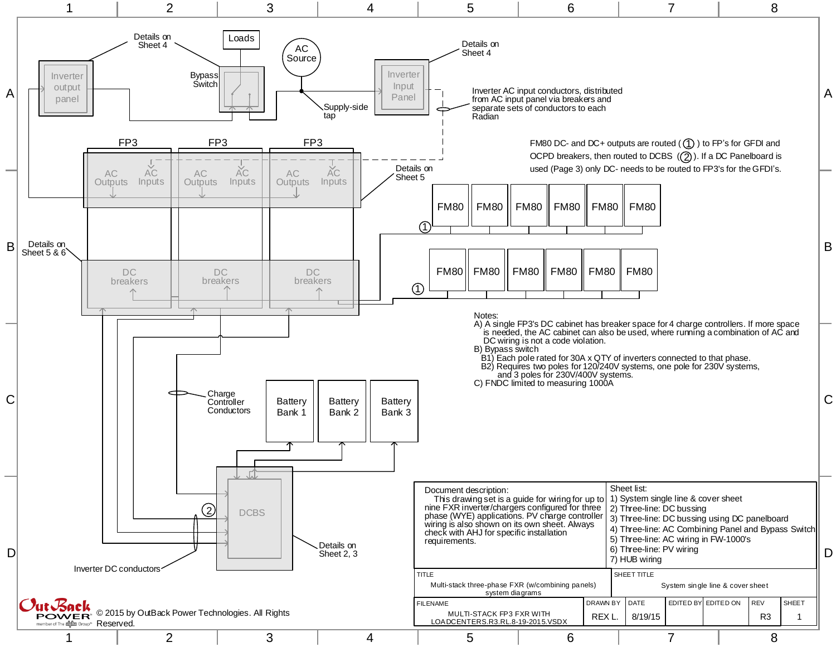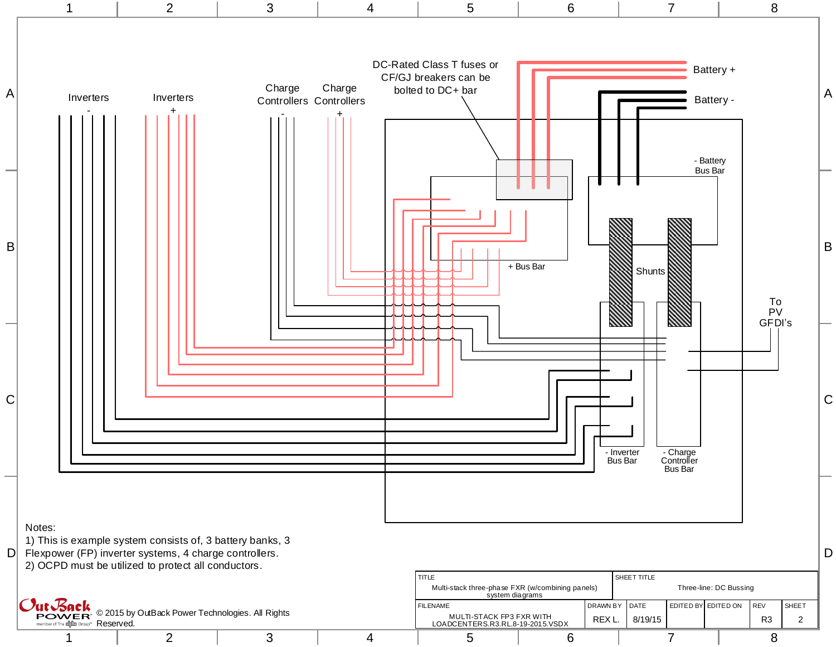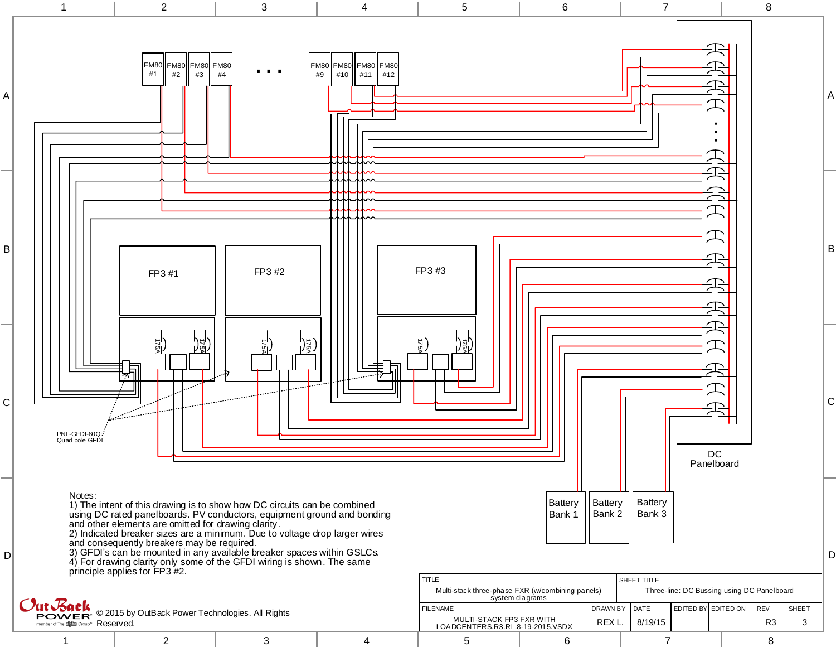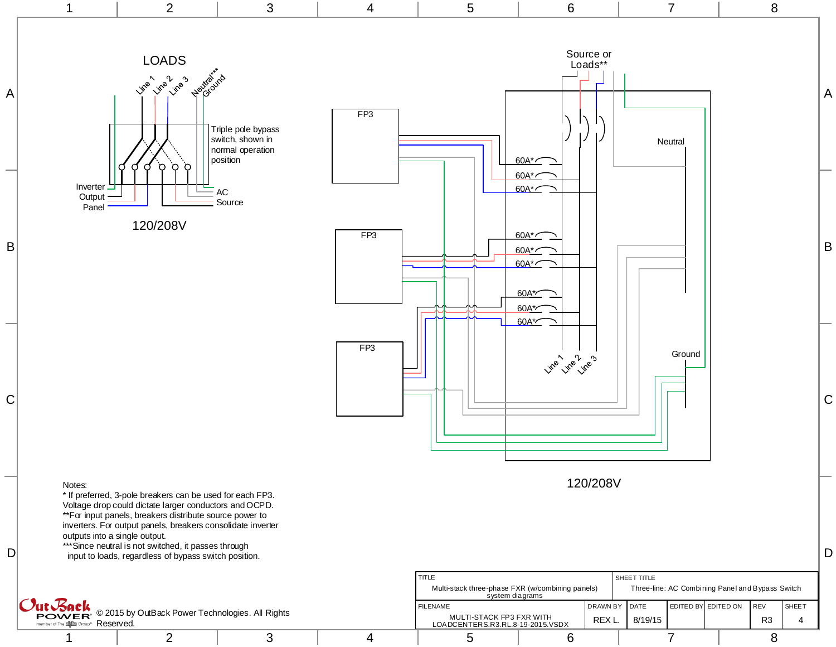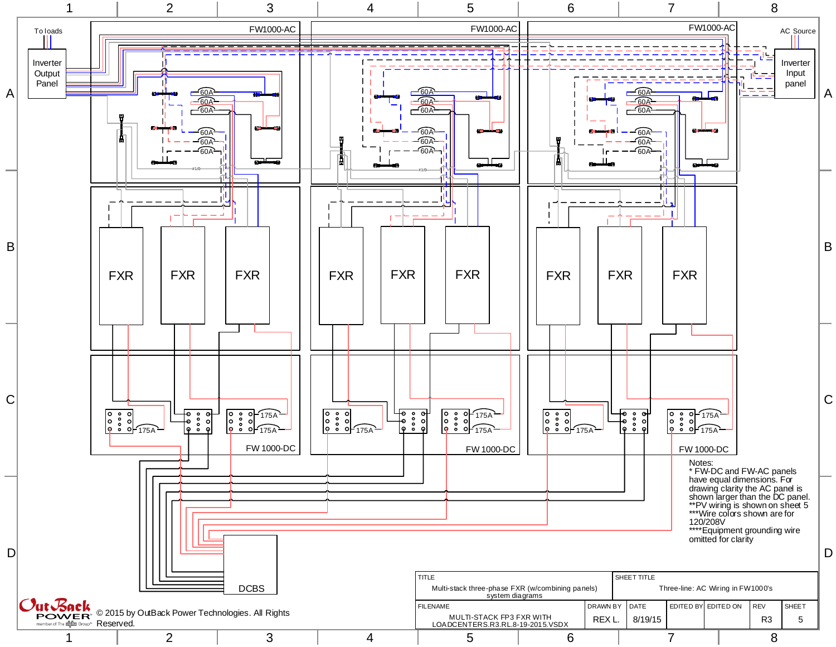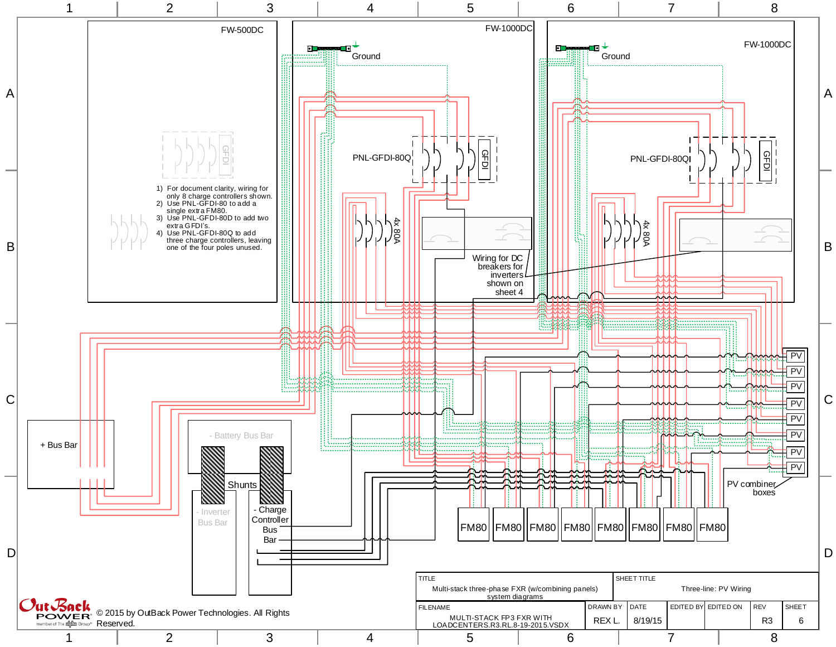